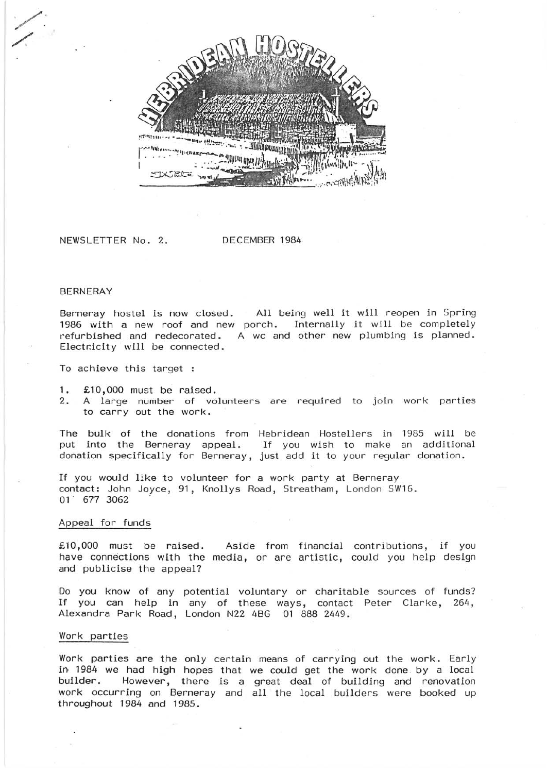*Mhhabbannuulkniit* 

NEWSLETTER No.2. DECEMBER 1984

#### BERNERAY

 $\overline{\phantom{a}}$ 

/.

Berneray hostel is now closed. All being well it will reopen in Spring 1986 with a new roof and new porch. Internally it will be completely refurbished and redecorated. A wc and other new plumbing is planned. Electricity will be connected.

To achieve this target :

- 1. £10,000 must be raised.
- 2. A large number of volunteers are required to join work parties to carry out the work.

The bulk of the donations from Hebridean Hostellers in 1985 will be put into the Berneray appeal. If you wish to make an additional If you wish to make an additional donation specifically for Berneray, just add it to your regular donation.

If you would like to volunteer for a work party at Berneray contact: John Joyce, 91, Knollys Road, Streatham, London SW16. 01 · 677 3062

### Appeal for funds

£10,000 must be raised. Aside from financial contributions, if you have connections with the media, or are artistic, could you help design and publicise the appeal?

Do you know of any potential voluntary or charitable sources of funds? If you can help in any of these ways, contact Peter Clarke, 264, Alexandra Park Road, London N22 4BG 01 888 2449.

### Work parties

Work parties are the only certain means of carrying out the work. Early in- 1984 we had high hopes that we could get the work done by a local builder. However, there is a great deal of building and renovation work occurring on Berneray and all the local builders were booked up throughout 1984 and 1985.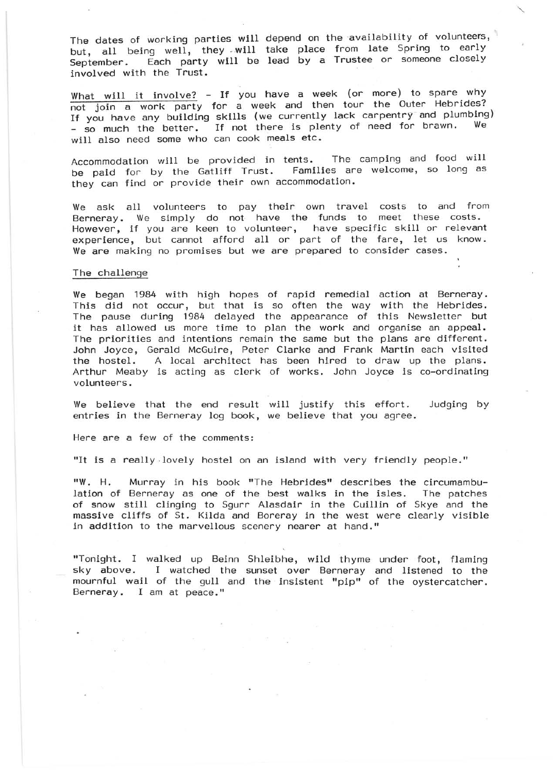The dates of working parties will depend on the availability of volunteers, but, all being well, they will take place from late Spring to early September. Each party will be lead by a Trustee or someone closely invol ved with the Trust.

What will it involve? - If you have a week (or more) to spare why not join a work party for a week and then tour the Outer Hebrides? If you have any building skills (we currently lack carpentry and plumbing) - so much the better. If not there is plenty of need for brawn. will also need some who can cook meals etc.

Accommodation will be provided in tents. The camping and food will be paid for by the Gatliff Trust. Families are welcome, so long as they can find or provide their own accommodation.

We ask all volunteers to pay their own travel costs to and from Berneray. We simply do not have the funds to meet these costs. However, if you are keen to volunteer, have specific skill or relevant experience, but cannot afford all or part of the fare, let us know. We are making no promises but we are prepared to consider cases.

### The challenge

We began 1984 with high hopes of rapid remedial action at Berneray. This did not occur, but that is so often the way with the Hebrides. The pause during 1984 delayed the appearance of this Newsletter but it has allowed us more time to plan the work and organise an appeal. The priorities and intentions remain the same but the plans are different. John Joyce, Gerald McGuire, Peter Clarke and Frank Martin each visited the hostel. A local architect has been hired to draw up the plans. Arthur Meaby is acting as clerk of works. John Joyce is co-ordinating volunteers.

We believe that the end result will justify this effort. Judging by entries in the Berneray log book, we believe that you agree.

Here are a few of the comments:

"It is a really lovely hostel on an island with very friendly people."

"W. H. Murray in his book "The Hebrides" describes the circumambulation of Berneray as one of the best walks in the isles. The patches of snow still clinging to Sgurr Alasdair in the Cuillin of Skye and the massive cliffs of St. Kilda and Boreray in the west were clearly visible in addition to the marvellous scenery nearer at hand."

"Tonight. I walked up Beinn Shleibhe, wild thyme under foot, flaming sky above. I watched the sunset over Berneray and listened to the mournful wail of the gull and the insistent "pip" of the oystercatcher. Berneray. I am at peace."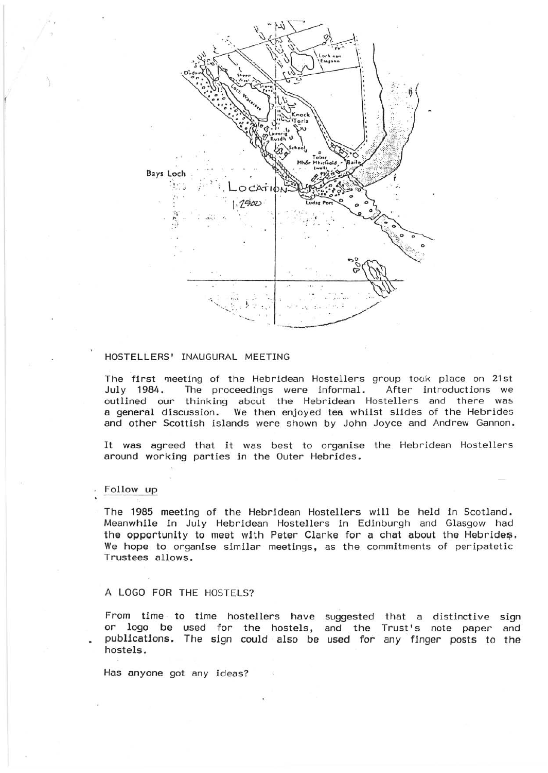

# HOSTELLERS' INAUGURAL MEETING

The first meeting of the Hebridean Hostellers group took place on 21st July 1984. The proceedings were informal. After introductions we outlined our thinking about the Hebridean Hostellers and there was a general discussion. We then enjoyed tea whilst slides of the Hebrides and other Scottish islands were shown by John Joyce and Andrew Gannon.

It was agreed that it was best to organise the Hebridean Hostellers around working parties in the Outer Hebrides.

## Follow up

The 1985 meeting of the Hebridean Hostellers will be held in Scotland. Meanwhile in July Hebridean Hostellers in Edinburgh and Glasgow had the opportunity to meet with Peter Clarke for a chat about the Hebrides. We hope to organise similar meetings, as the commitments of peripatetic Trustees allows.

## A LOGO FOR THE HOSTELS?

From time to time hostellers have suggested that a distinctive sign or logo be used for the hostels, and the Trust's note paper and publications. The sign could also be used for any finger posts to the hostels.

Has anyone got any ideas?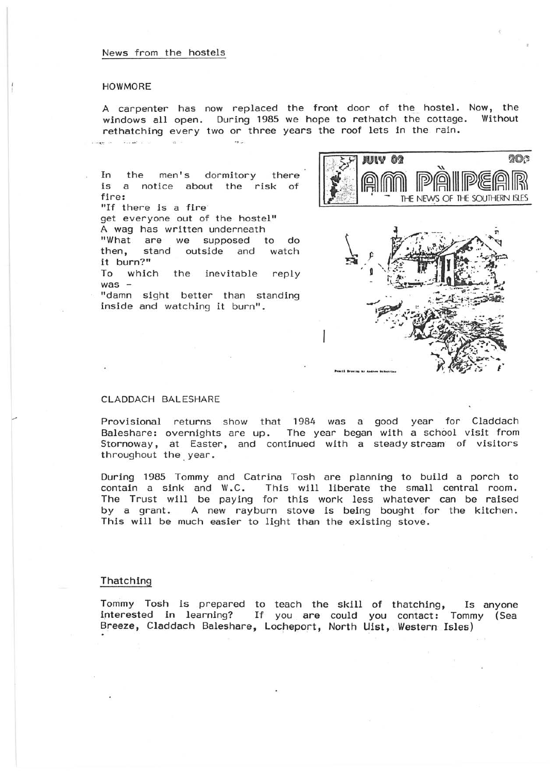# News from the hostels

#### HOWMORE

A carpenter has now replaced the front door of the hostel. Now, the windows all open. During 1985 we hope to rethatch the cottage. Without windows all open. During 1985 we hope to rethatch the cottage. rethatching every two or three years the roof lets in the rain.

In the men's dormitory there is a notice about the risk of fire: "If there is a fire get everyone out of the hostel" A wag has written underneath "What are we supposed to do stand outside and it burn?" To which the inevitable reply  $was -$ "damn sight better than standing inside and watching it burn" .





# CLADDACH BALESHARE

Provisional Baleshare: Stornoway, at Easter, and continued with a steady stream of visitors throughout the, year. returns show that 1984 was a good year for Claddach overnights are up. The year began with a school visit from

During 1985 Tommy and Catrina Tosh are planning to build a porch to contain a sink and W.C. This will liberate the small central room. This will liberate the small central room. The Trust will be paying for this work less whatever can be raised by a grant. A new rayburn stove is being bought for the kitchen. This will be much easier to light than the existing stove.

# Thatching

Tommy Tosh is prepared to teach the skill of thatching, Is anyone interested in learning? If you are could you contact: Tommy (Sea Breeze, Claddach Baleshare, Locheport, North Uist, Western Isles) .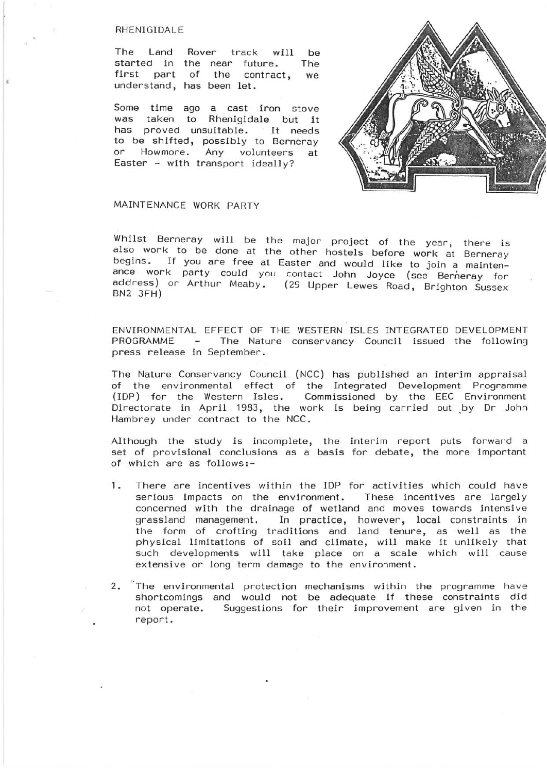#### RHENIGIDALE

The Land Rover track will be started in the near future. The first part of the contract, we understand, has been let.

Some time ago a cast iron stove was taken to Rhenigidale but it has proved unsuitable. It needs to be shifted, possibly to Berneray or Howmore. Any volunteers at Easter - with transport ideally?



# MAINTENANCE WORK PARTY

Whilst Berneray will be the major project of the year, there is also work to be done at the other hostels before work at Berneray begins. If you are free at Easter and would like to join a maintenance work party could you contact John Joyce (see Berneray for address) or Arthur Meaby. (29 Upper Lewes Road, Brighton Sussex<br>BN2 3FH)

ENVIRONMENTAL EFFECT OF THE WESTERN ISLES INTEGRATED DEVELOPMENT PROGRAMME - The Nature conservancy Council issued the following press release in September.

The Nature Conservancy Council (NCC) has published an interim appraisal of the environmental effect of the Integrated Development Programme (lOP) for the Western Isles. Commissioned by the EEC Environment Directorate in April 1983, the work is being carried out by Dr John Hambrey under contract to the NCC.

Although the study is incomplete, the interim report puts forward a set of provisional conclusions as a basis for debate, the more important of which are as follows:-

- 1. There are incentives within the lOP for activities which could have serious impacts on the environment. These incentives are largely concerned with the drainage of wetland and moves towards intensive grassland management. In practice, however, local constraints in the form of crofting traditions and land tenure, as well as the physical limitations of soil and climate, will make it unlikely that such developments will take place on a scale which will cause extensive or long term damage to the environment.
- 2. The environmental protection mechanisms within the programme have shortcomings and would not be adequate if these constraints did not operate. Suggestions for their improvement are given in the report .